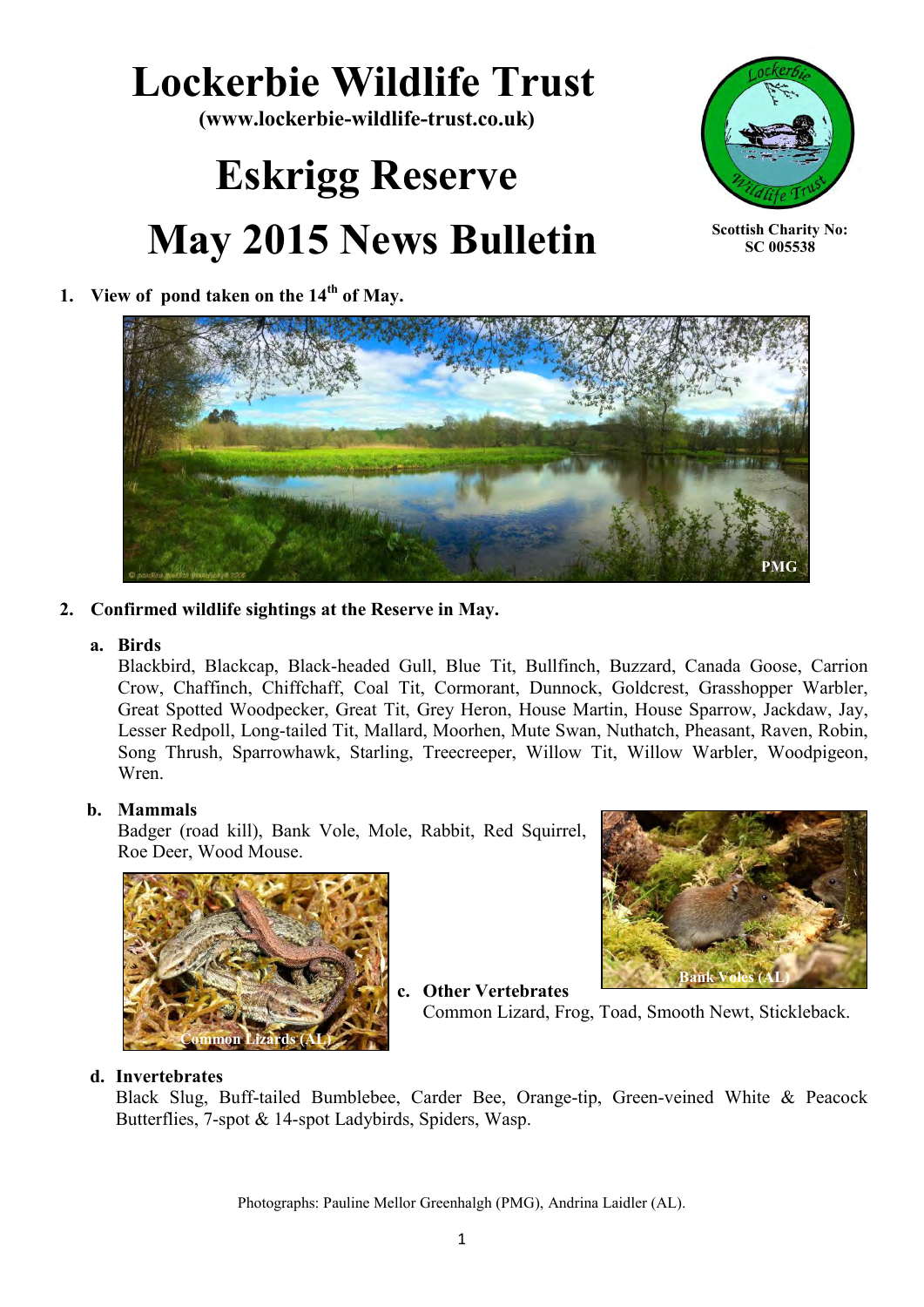# **Lockerbie Wildlife Trust**

**(www.lockerbie-wildlife-trust.co.uk)** 

# **Eskrigg Reserve May 2015 News Bulletin**



**Scottish Charity No: SC 005538**

# **1. View of pond taken on the 14th of May.**



### **2. Confirmed wildlife sightings at the Reserve in May.**

#### **a. Birds**

Blackbird, Blackcap, Black-headed Gull, Blue Tit, Bullfinch, Buzzard, Canada Goose, Carrion Crow, Chaffinch, Chiffchaff, Coal Tit, Cormorant, Dunnock, Goldcrest, Grasshopper Warbler, Great Spotted Woodpecker, Great Tit, Grey Heron, House Martin, House Sparrow, Jackdaw, Jay, Lesser Redpoll, Long-tailed Tit, Mallard, Moorhen, Mute Swan, Nuthatch, Pheasant, Raven, Robin, Song Thrush, Sparrowhawk, Starling, Treecreeper, Willow Tit, Willow Warbler, Woodpigeon, Wren.

### **b. Mammals**

Badger (road kill), Bank Vole, Mole, Rabbit, Red Squirrel, Roe Deer, Wood Mouse.





**c. Other Vertebrates** Common Lizard, Frog, Toad, Smooth Newt, Stickleback.

#### **d. Invertebrates**

Black Slug, Buff-tailed Bumblebee, Carder Bee, Orange-tip, Green-veined White & Peacock Butterflies, 7-spot & 14-spot Ladybirds, Spiders, Wasp.

Photographs: Pauline Mellor Greenhalgh (PMG), Andrina Laidler (AL).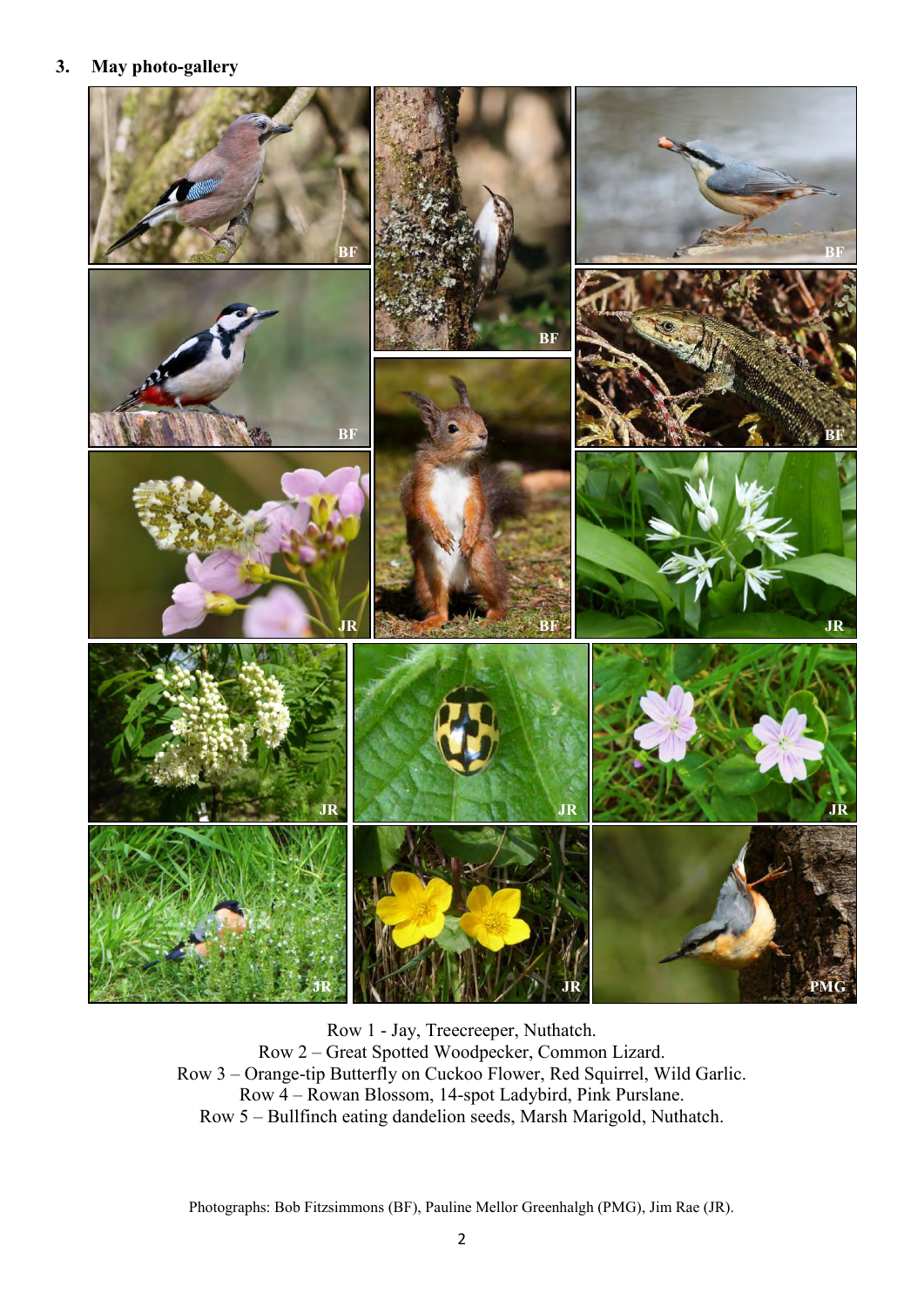#### **3. May photo-gallery**



Row 1 - Jay, Treecreeper, Nuthatch. Row 2 – Great Spotted Woodpecker, Common Lizard. Row 3 – Orange-tip Butterfly on Cuckoo Flower, Red Squirrel, Wild Garlic. Row 4 – Rowan Blossom, 14-spot Ladybird, Pink Purslane. Row 5 – Bullfinch eating dandelion seeds, Marsh Marigold, Nuthatch.

Photographs: Bob Fitzsimmons (BF), Pauline Mellor Greenhalgh (PMG), Jim Rae (JR).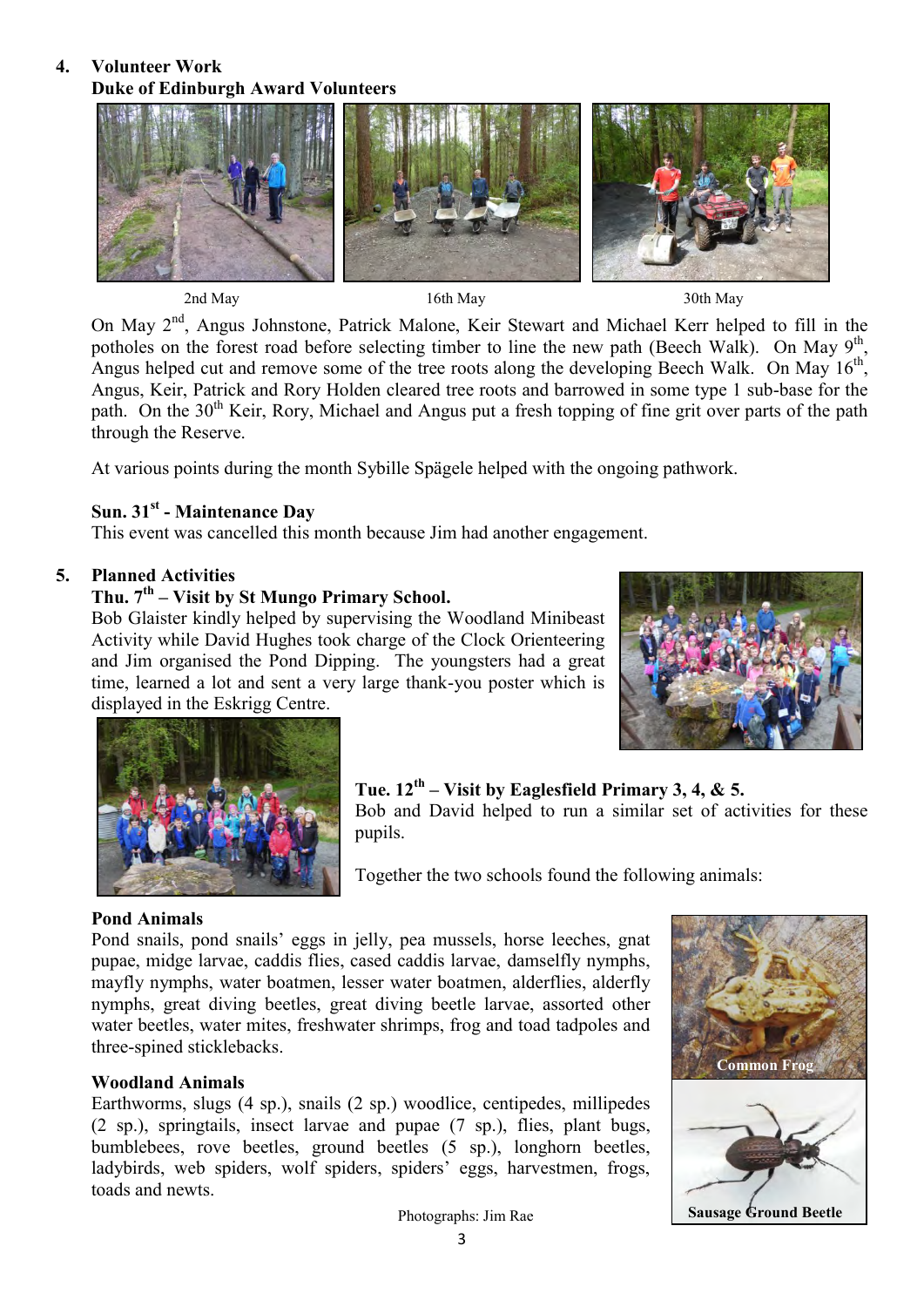#### **4. Volunteer Work Duke of Edinburgh Award Volunteers**



2nd May 16th May 16th May 20th May 30th May

On May 2<sup>nd</sup>, Angus Johnstone, Patrick Malone, Keir Stewart and Michael Kerr helped to fill in the potholes on the forest road before selecting timber to line the new path (Beech Walk). On May  $9<sup>th</sup>$ , Angus helped cut and remove some of the tree roots along the developing Beech Walk. On May  $16<sup>th</sup>$ , Angus, Keir, Patrick and Rory Holden cleared tree roots and barrowed in some type 1 sub-base for the path. On the 30<sup>th</sup> Keir, Rory, Michael and Angus put a fresh topping of fine grit over parts of the path through the Reserve.

At various points during the month Sybille Spägele helped with the ongoing pathwork.

# **Sun. 31st - Maintenance Day**

This event was cancelled this month because Jim had another engagement.

### **5. Planned Activities**

# **Thu. 7th – Visit by St Mungo Primary School.**

Bob Glaister kindly helped by supervising the Woodland Minibeast Activity while David Hughes took charge of the Clock Orienteering and Jim organised the Pond Dipping. The youngsters had a great time, learned a lot and sent a very large thank-you poster which is displayed in the Eskrigg Centre.





## **Tue. 12th – Visit by Eaglesfield Primary 3, 4, & 5.**

Bob and David helped to run a similar set of activities for these pupils.

Together the two schools found the following animals:

### **Pond Animals**

Pond snails, pond snails' eggs in jelly, pea mussels, horse leeches, gnat pupae, midge larvae, caddis flies, cased caddis larvae, damselfly nymphs, mayfly nymphs, water boatmen, lesser water boatmen, alderflies, alderfly nymphs, great diving beetles, great diving beetle larvae, assorted other water beetles, water mites, freshwater shrimps, frog and toad tadpoles and three-spined sticklebacks.

### **Woodland Animals**

Earthworms, slugs (4 sp.), snails (2 sp.) woodlice, centipedes, millipedes (2 sp.), springtails, insect larvae and pupae (7 sp.), flies, plant bugs, bumblebees, rove beetles, ground beetles (5 sp.), longhorn beetles, ladybirds, web spiders, wolf spiders, spiders' eggs, harvestmen, frogs, toads and newts.